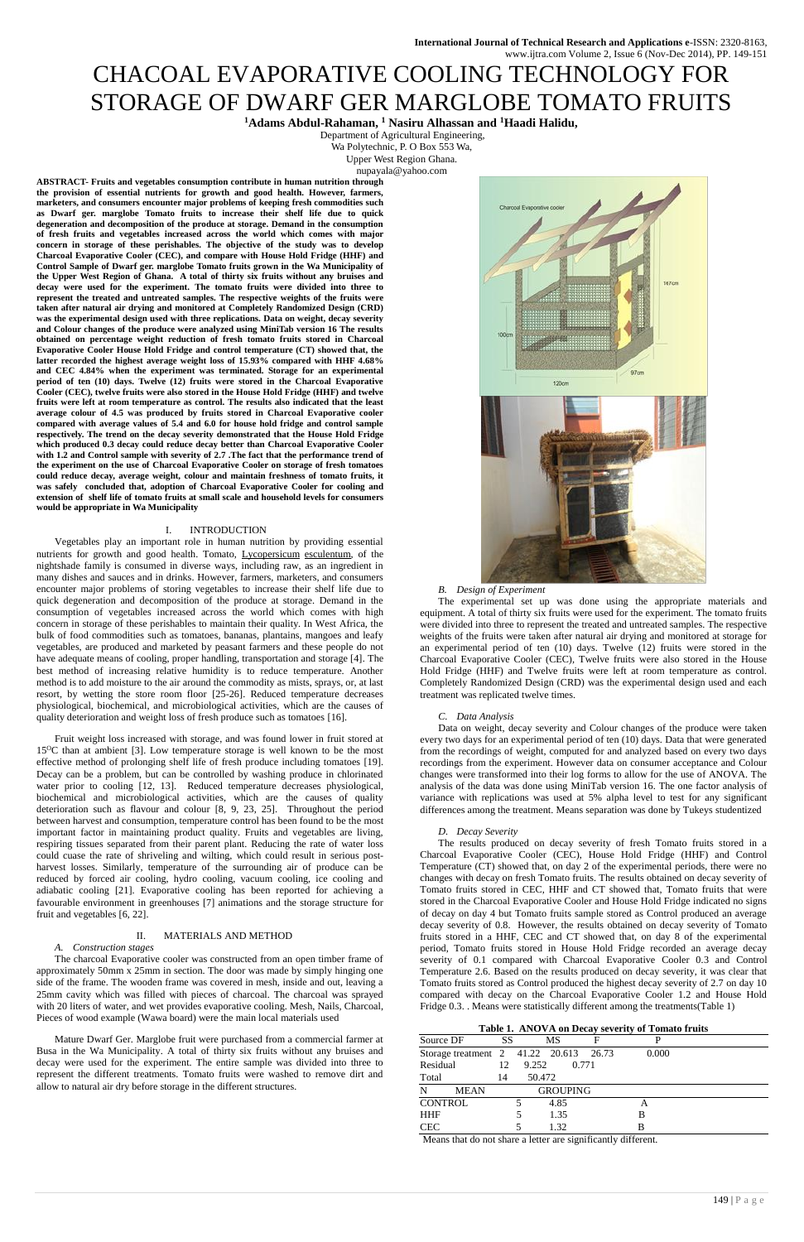# CHACOAL EVAPORATIVE COOLING TECHNOLOGY FOR STORAGE OF DWARF GER MARGLOBE TOMATO FRUITS

**<sup>1</sup>Adams Abdul-Rahaman, <sup>1</sup> Nasiru Alhassan and <sup>1</sup>Haadi Halidu,**

Department of Agricultural Engineering, Wa Polytechnic, P. O Box 553 Wa,

Upper West Region Ghana.

nupayala@yahoo.com

**ABSTRACT- Fruits and vegetables consumption contribute in human nutrition through the provision of essential nutrients for growth and good health. However, farmers, marketers, and consumers encounter major problems of keeping fresh commodities such as Dwarf ger. marglobe Tomato fruits to increase their shelf life due to quick degeneration and decomposition of the produce at storage. Demand in the consumption of fresh fruits and vegetables increased across the world which comes with major concern in storage of these perishables. The objective of the study was to develop Charcoal Evaporative Cooler (CEC), and compare with House Hold Fridge (HHF) and Control Sample of Dwarf ger. marglobe Tomato fruits grown in the Wa Municipality of the Upper West Region of Ghana. A total of thirty six fruits without any bruises and decay were used for the experiment. The tomato fruits were divided into three to represent the treated and untreated samples. The respective weights of the fruits were taken after natural air drying and monitored at Completely Randomized Design (CRD) was the experimental design used with three replications. Data on weight, decay severity and Colour changes of the produce were analyzed using MiniTab version 16 The results obtained on percentage weight reduction of fresh tomato fruits stored in Charcoal Evaporative Cooler House Hold Fridge and control temperature (CT) showed that, the latter recorded the highest average weight loss of 15.93% compared with HHF 4.68% and CEC 4.84% when the experiment was terminated. Storage for an experimental period of ten (10) days. Twelve (12) fruits were stored in the Charcoal Evaporative Cooler (CEC), twelve fruits were also stored in the House Hold Fridge (HHF) and twelve fruits were left at room temperature as control. The results also indicated that the least average colour of 4.5 was produced by fruits stored in Charcoal Evaporative cooler compared with average values of 5.4 and 6.0 for house hold fridge and control sample respectively. The trend on the decay severity demonstrated that the House Hold Fridge which produced 0.3 decay could reduce decay better than Charcoal Evaporative Cooler with 1.2 and Control sample with severity of 2.7 .The fact that the performance trend of the experiment on the use of Charcoal Evaporative Cooler on storage of fresh tomatoes could reduce decay, average weight, colour and maintain freshness of tomato fruits, it was safely concluded that, adoption of Charcoal Evaporative Cooler for cooling and extension of shelf life of tomato fruits at small scale and household levels for consumers would be appropriate in Wa Municipality**

### I. INTRODUCTION

Vegetables play an important role in human nutrition by providing essential nutrients for growth and good health. Tomato, Lycopersicum esculentum, of the nightshade family is consumed in diverse ways, including raw, as an ingredient in many dishes and sauces and in drinks. However, farmers, marketers, and consumers encounter major problems of storing vegetables to increase their shelf life due to quick degeneration and decomposition of the produce at storage. Demand in the consumption of vegetables increased across the world which comes with high concern in storage of these perishables to maintain their quality. In West Africa, the bulk of food commodities such as tomatoes, bananas, plantains, mangoes and leafy vegetables, are produced and marketed by peasant farmers and these people do not have adequate means of cooling, proper handling, transportation and storage [4]. The best method of increasing relative humidity is to reduce temperature. Another method is to add moisture to the air around the commodity as mists, sprays, or, at last resort, by wetting the store room floor [25-26]. Reduced temperature decreases physiological, biochemical, and microbiological activities, which are the causes of quality deterioration and weight loss of fresh produce such as tomatoes [16].

Fruit weight loss increased with storage, and was found lower in fruit stored at 15<sup>O</sup>C than at ambient [3]. Low temperature storage is well known to be the most effective method of prolonging shelf life of fresh produce including tomatoes [19]. Decay can be a problem, but can be controlled by washing produce in chlorinated water prior to cooling [12, 13]. Reduced temperature decreases physiological, biochemical and microbiological activities, which are the causes of quality deterioration such as flavour and colour [8, 9, 23, 25]. Throughout the period between harvest and consumption, temperature control has been found to be the most important factor in maintaining product quality. Fruits and vegetables are living, respiring tissues separated from their parent plant. Reducing the rate of water loss could cuase the rate of shriveling and wilting, which could result in serious postharvest losses. Similarly, temperature of the surrounding air of produce can be reduced by forced air cooling, hydro cooling, vacuum cooling, ice cooling and adiabatic cooling [21]. Evaporative cooling has been reported for achieving a favourable environment in greenhouses [7] animations and the storage structure for



fruit and vegetables [6, 22].

# II. MATERIALS AND METHOD

### *A. Construction stages*

The charcoal Evaporative cooler was constructed from an open timber frame of approximately 50mm x 25mm in section. The door was made by simply hinging one side of the frame. The wooden frame was covered in mesh, inside and out, leaving a 25mm cavity which was filled with pieces of charcoal. The charcoal was sprayed with 20 liters of water, and wet provides evaporative cooling. Mesh, Nails, Charcoal, Pieces of wood example (Wawa board) were the main local materials used

Mature Dwarf Ger. Marglobe fruit were purchased from a commercial farmer at Busa in the Wa Municipality. A total of thirty six fruits without any bruises and decay were used for the experiment. The entire sample was divided into three to represent the different treatments. Tomato fruits were washed to remove dirt and allow to natural air dry before storage in the different structures.

#### *B. Design of Experiment*

The experimental set up was done using the appropriate materials and equipment. A total of thirty six fruits were used for the experiment. The tomato fruits were divided into three to represent the treated and untreated samples. The respective weights of the fruits were taken after natural air drying and monitored at storage for an experimental period of ten (10) days. Twelve (12) fruits were stored in the Charcoal Evaporative Cooler (CEC), Twelve fruits were also stored in the House Hold Fridge (HHF) and Twelve fruits were left at room temperature as control. Completely Randomized Design (CRD) was the experimental design used and each treatment was replicated twelve times.

#### *C. Data Analysis*

Data on weight, decay severity and Colour changes of the produce were taken every two days for an experimental period of ten (10) days. Data that were generated from the recordings of weight, computed for and analyzed based on every two days recordings from the experiment. However data on consumer acceptance and Colour changes were transformed into their log forms to allow for the use of ANOVA. The analysis of the data was done using MiniTab version 16. The one factor analysis of variance with replications was used at 5% alpha level to test for any significant differences among the treatment. Means separation was done by Tukeys studentized

#### *D. Decay Severity*

The results produced on decay severity of fresh Tomato fruits stored in a Charcoal Evaporative Cooler (CEC), House Hold Fridge (HHF) and Control Temperature (CT) showed that, on day 2 of the experimental periods, there were no changes with decay on fresh Tomato fruits. The results obtained on decay severity of Tomato fruits stored in CEC, HHF and CT showed that, Tomato fruits that were stored in the Charcoal Evaporative Cooler and House Hold Fridge indicated no signs of decay on day 4 but Tomato fruits sample stored as Control produced an average decay severity of 0.8. However, the results obtained on decay severity of Tomato fruits stored in a HHF, CEC and CT showed that, on day 8 of the experimental period, Tomato fruits stored in House Hold Fridge recorded an average decay severity of 0.1 compared with Charcoal Evaporative Cooler 0.3 and Control Temperature 2.6. Based on the results produced on decay severity, it was clear that Tomato fruits stored as Control produced the highest decay severity of 2.7 on day 10 compared with decay on the Charcoal Evaporative Cooler 1.2 and House Hold Fridge 0.3. . Means were statistically different among the treatments(Table 1)

**Table 1. ANOVA on Decay severity of Tomato fruits**

| Source DF                              | SS |        | MS              | F     |       |  |
|----------------------------------------|----|--------|-----------------|-------|-------|--|
| Storage treatment 2 41.22 20.613 26.73 |    |        |                 |       | 0.000 |  |
| Residual                               | 12 | 9.252  |                 | 0.771 |       |  |
| Total                                  | 14 | 50.472 |                 |       |       |  |
| N<br><b>MEAN</b>                       |    |        | <b>GROUPING</b> |       |       |  |
| <b>CONTROL</b>                         |    |        | 4.85            |       | А     |  |
| <b>HHF</b>                             |    |        | 1.35            |       | В     |  |
| <b>CEC</b>                             |    |        | 1.32            |       | в     |  |

Means that do not share a letter are significantly different.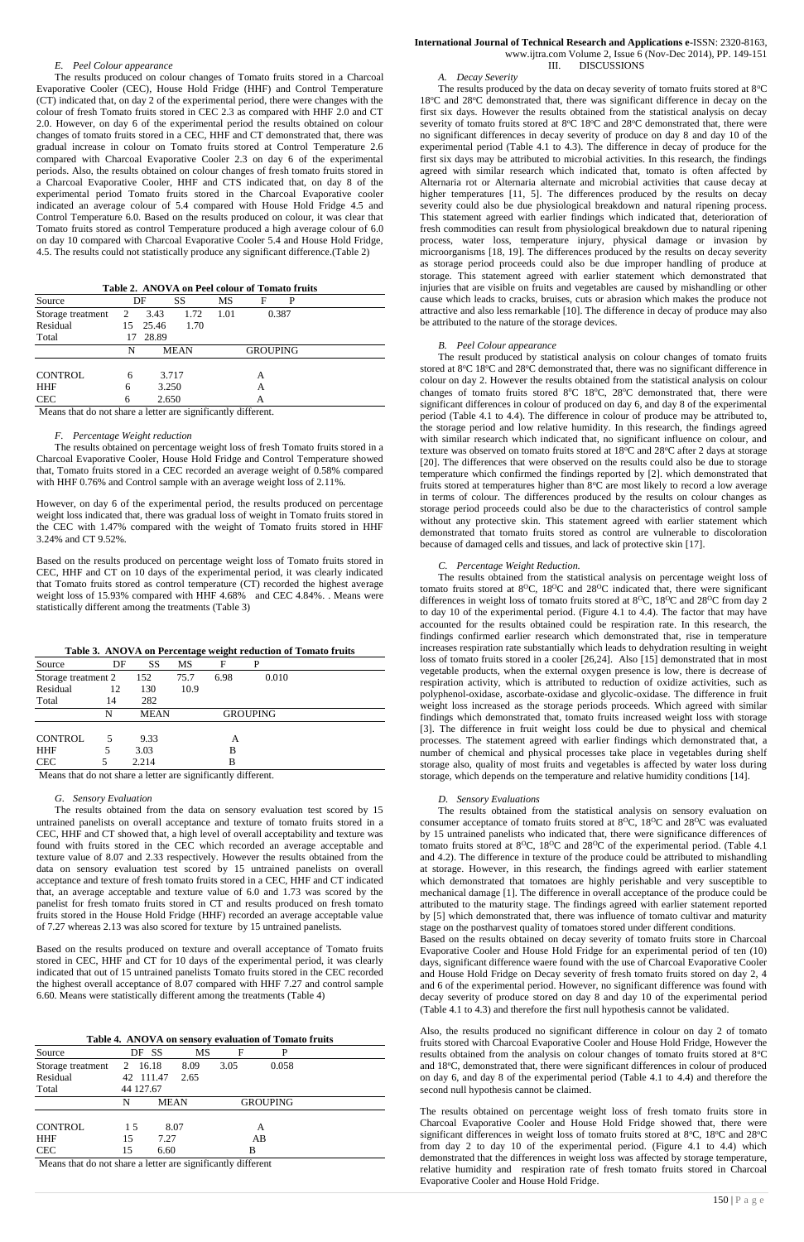150 | P a g e

#### *E. Peel Colour appearance*

The results produced on colour changes of Tomato fruits stored in a Charcoal Evaporative Cooler (CEC), House Hold Fridge (HHF) and Control Temperature (CT) indicated that, on day 2 of the experimental period, there were changes with the colour of fresh Tomato fruits stored in CEC 2.3 as compared with HHF 2.0 and CT 2.0. However, on day 6 of the experimental period the results obtained on colour changes of tomato fruits stored in a CEC, HHF and CT demonstrated that, there was gradual increase in colour on Tomato fruits stored at Control Temperature 2.6 compared with Charcoal Evaporative Cooler 2.3 on day 6 of the experimental periods. Also, the results obtained on colour changes of fresh tomato fruits stored in a Charcoal Evaporative Cooler, HHF and CTS indicated that, on day 8 of the experimental period Tomato fruits stored in the Charcoal Evaporative cooler indicated an average colour of 5.4 compared with House Hold Fridge 4.5 and Control Temperature 6.0. Based on the results produced on colour, it was clear that Tomato fruits stored as control Temperature produced a high average colour of 6.0 on day 10 compared with Charcoal Evaporative Cooler 5.4 and House Hold Fridge, 4.5. The results could not statistically produce any significant difference.(Table 2)

**Table 2. ANOVA on Peel colour of Tomato fruits**

| Source            |    | DF    | SS          | MS   | F               | P     |  |
|-------------------|----|-------|-------------|------|-----------------|-------|--|
| Storage treatment | 2  | 3.43  | 1.72        | 1.01 |                 | 0.387 |  |
| Residual          | 15 | 25.46 | 1.70        |      |                 |       |  |
| Total             |    | 28.89 |             |      |                 |       |  |
|                   | N  |       | <b>MEAN</b> |      | <b>GROUPING</b> |       |  |
|                   |    |       |             |      |                 |       |  |
| <b>CONTROL</b>    | 6  | 3.717 |             | A    |                 |       |  |
| <b>HHF</b>        | 6  |       | 3.250       |      | А               |       |  |
| <b>CEC</b>        | 6  | 2.650 |             |      | А               |       |  |

Means that do not share a letter are significantly different.

#### *F. Percentage Weight reduction*

The results obtained on percentage weight loss of fresh Tomato fruits stored in a Charcoal Evaporative Cooler, House Hold Fridge and Control Temperature showed that, Tomato fruits stored in a CEC recorded an average weight of 0.58% compared with HHF 0.76% and Control sample with an average weight loss of 2.11%.

However, on day 6 of the experimental period, the results produced on percentage weight loss indicated that, there was gradual loss of weight in Tomato fruits stored in the CEC with 1.47% compared with the weight of Tomato fruits stored in HHF 3.24% and CT 9.52%.

## **International Journal of Technical Research and Applications e**-ISSN: 2320-8163, www.ijtra.com Volume 2, Issue 6 (Nov-Dec 2014), PP. 149-151 III. DISCUSSIONS

Based on the results produced on percentage weight loss of Tomato fruits stored in CEC, HHF and CT on 10 days of the experimental period, it was clearly indicated that Tomato fruits stored as control temperature (CT) recorded the highest average weight loss of 15.93% compared with HHF 4.68% and CEC 4.84%. . Means were statistically different among the treatments (Table 3)

| Table 3. ANOVA on Percentage weight reduction of Tomato fruits |  |  |  |  |  |  |  |
|----------------------------------------------------------------|--|--|--|--|--|--|--|
|----------------------------------------------------------------|--|--|--|--|--|--|--|

| Source              | DF | SS          | МS   | F    |                 |  |
|---------------------|----|-------------|------|------|-----------------|--|
| Storage treatment 2 |    | 152         | 75.7 | 6.98 | 0.010           |  |
| Residual            | 12 | 130         | 10.9 |      |                 |  |
| Total               | 14 | 282         |      |      |                 |  |
|                     | N  | <b>MEAN</b> |      |      | <b>GROUPING</b> |  |
|                     |    |             |      |      |                 |  |
| <b>CONTROL</b>      | 5  | 9.33        |      | А    |                 |  |
| <b>HHF</b>          |    | 3.03        |      | В    |                 |  |
| <b>CEC</b>          |    | 2.214       |      | В    |                 |  |

Means that do not share a letter are significantly different.

# *G. Sensory Evaluation*

The results produced by the data on decay severity of tomato fruits stored at  $8^{\circ}C$ 18<sup>o</sup>C and 28<sup>o</sup>C demonstrated that, there was significant difference in decay on the first six days. However the results obtained from the statistical analysis on decay severity of tomato fruits stored at  $8^{\circ}$ C 18 $^{\circ}$ C and 28 $^{\circ}$ C demonstrated that, there were no significant differences in decay severity of produce on day 8 and day 10 of the experimental period (Table 4.1 to 4.3). The difference in decay of produce for the first six days may be attributed to microbial activities. In this research, the findings agreed with similar research which indicated that, tomato is often affected by Alternaria rot or Alternaria alternate and microbial activities that cause decay at higher temperatures [11, 5]. The differences produced by the results on decay severity could also be due physiological breakdown and natural ripening process. This statement agreed with earlier findings which indicated that, deterioration of fresh commodities can result from physiological breakdown due to natural ripening process, water loss, temperature injury, physical damage or invasion by microorganisms [18, 19]. The differences produced by the results on decay severity as storage period proceeds could also be due improper handling of produce at storage. This statement agreed with earlier statement which demonstrated that injuries that are visible on fruits and vegetables are caused by mishandling or other cause which leads to cracks, bruises, cuts or abrasion which makes the produce not attractive and also less remarkable [10]. The difference in decay of produce may also be attributed to the nature of the storage devices.

The results obtained from the data on sensory evaluation test scored by 15 untrained panelists on overall acceptance and texture of tomato fruits stored in a CEC, HHF and CT showed that, a high level of overall acceptability and texture was found with fruits stored in the CEC which recorded an average acceptable and texture value of 8.07 and 2.33 respectively. However the results obtained from the data on sensory evaluation test scored by 15 untrained panelists on overall acceptance and texture of fresh tomato fruits stored in a CEC, HHF and CT indicated that, an average acceptable and texture value of 6.0 and 1.73 was scored by the panelist for fresh tomato fruits stored in CT and results produced on fresh tomato fruits stored in the House Hold Fridge (HHF) recorded an average acceptable value of 7.27 whereas 2.13 was also scored for texture by 15 untrained panelists.

Based on the results produced on texture and overall acceptance of Tomato fruits stored in CEC, HHF and CT for 10 days of the experimental period, it was clearly indicated that out of 15 untrained panelists Tomato fruits stored in the CEC recorded the highest overall acceptance of 8.07 compared with HHF 7.27 and control sample 6.60. Means were statistically different among the treatments (Table 4)

| Table 4. ANOVA on sensory evaluation of Tomato fruits                                                                |             |             |      |      |                 |  |  |  |  |
|----------------------------------------------------------------------------------------------------------------------|-------------|-------------|------|------|-----------------|--|--|--|--|
| Source                                                                                                               | DF SS<br>MS |             | F    | P    |                 |  |  |  |  |
| Storage treatment                                                                                                    | 2 16.18     |             | 8.09 | 3.05 | 0.058           |  |  |  |  |
| Residual                                                                                                             | 42 111.47   |             | 2.65 |      |                 |  |  |  |  |
| Total                                                                                                                | 44 127.67   |             |      |      |                 |  |  |  |  |
|                                                                                                                      | N           | <b>MEAN</b> |      |      | <b>GROUPING</b> |  |  |  |  |
|                                                                                                                      |             |             |      |      |                 |  |  |  |  |
| <b>CONTROL</b>                                                                                                       | 15          | 8.07        |      | А    |                 |  |  |  |  |
| <b>HHF</b>                                                                                                           | 15          | 7.27        |      | AB   |                 |  |  |  |  |
| <b>CEC</b>                                                                                                           | 15          | 6.60        |      | B    |                 |  |  |  |  |
| $M_{\odot}$ and $A_{\odot}$ and $A_{\odot}$ are strongly interesting the strongly set of $\sim 1100$ and $\sim 1100$ |             |             |      |      |                 |  |  |  |  |

Means that do not share a letter are significantly different

*A. Decay Severity* 

#### *B. Peel Colour appearance*

The result produced by statistical analysis on colour changes of tomato fruits stored at 8°C 18°C and 28°C demonstrated that, there was no significant difference in colour on day 2. However the results obtained from the statistical analysis on colour changes of tomato fruits stored  $8^{\circ}$ C 18 $^{\circ}$ C, 28 $^{\circ}$ C demonstrated that, there were significant differences in colour of produced on day 6, and day 8 of the experimental period (Table 4.1 to 4.4). The difference in colour of produce may be attributed to, the storage period and low relative humidity. In this research, the findings agreed with similar research which indicated that, no significant influence on colour, and texture was observed on tomato fruits stored at  $18^{\circ}$ C and  $28^{\circ}$ C after 2 days at storage [20]. The differences that were observed on the results could also be due to storage temperature which confirmed the findings reported by [2]. which demonstrated that fruits stored at temperatures higher than 8°C are most likely to record a low average in terms of colour. The differences produced by the results on colour changes as storage period proceeds could also be due to the characteristics of control sample without any protective skin. This statement agreed with earlier statement which demonstrated that tomato fruits stored as control are vulnerable to discoloration because of damaged cells and tissues, and lack of protective skin [17].

#### *C. Percentage Weight Reduction.*

The results obtained from the statistical analysis on percentage weight loss of tomato fruits stored at  $8^{\circ}$ C,  $18^{\circ}$ C and  $28^{\circ}$ C indicated that, there were significant differences in weight loss of tomato fruits stored at  $8^{\circ}$ C,  $18^{\circ}$ C and  $28^{\circ}$ C from day 2 to day 10 of the experimental period. (Figure 4.1 to 4.4). The factor that may have accounted for the results obtained could be respiration rate. In this research, the findings confirmed earlier research which demonstrated that, rise in temperature increases respiration rate substantially which leads to dehydration resulting in weight loss of tomato fruits stored in a cooler [26,24]. Also [15] demonstrated that in most vegetable products, when the external oxygen presence is low, there is decrease of respiration activity, which is attributed to reduction of oxidize activities, such as polyphenol-oxidase, ascorbate-oxidase and glycolic-oxidase. The difference in fruit weight loss increased as the storage periods proceeds. Which agreed with similar findings which demonstrated that, tomato fruits increased weight loss with storage [3]. The difference in fruit weight loss could be due to physical and chemical processes. The statement agreed with earlier findings which demonstrated that, a number of chemical and physical processes take place in vegetables during shelf storage also, quality of most fruits and vegetables is affected by water loss during storage, which depends on the temperature and relative humidity conditions [14].

#### *D. Sensory Evaluations*

The results obtained from the statistical analysis on sensory evaluation on consumer acceptance of tomato fruits stored at  $8^{\circ}$ C,  $18^{\circ}$ C and  $28^{\circ}$ C was evaluated by 15 untrained panelists who indicated that, there were significance differences of tomato fruits stored at  $8^{\circ}$ C,  $18^{\circ}$ C and  $28^{\circ}$ C of the experimental period. (Table 4.1) and 4.2). The difference in texture of the produce could be attributed to mishandling at storage. However, in this research, the findings agreed with earlier statement which demonstrated that tomatoes are highly perishable and very susceptible to mechanical damage [1]. The difference in overall acceptance of the produce could be attributed to the maturity stage. The findings agreed with earlier statement reported by [5] which demonstrated that, there was influence of tomato cultivar and maturity stage on the postharvest quality of tomatoes stored under different conditions. Based on the results obtained on decay severity of tomato fruits store in Charcoal Evaporative Cooler and House Hold Fridge for an experimental period of ten (10) days, significant difference waere found with the use of Charcoal Evaporative Cooler and House Hold Fridge on Decay severity of fresh tomato fruits stored on day 2, 4 and 6 of the experimental period. However, no significant difference was found with decay severity of produce stored on day 8 and day 10 of the experimental period (Table 4.1 to 4.3) and therefore the first null hypothesis cannot be validated.

Also, the results produced no significant difference in colour on day 2 of tomato fruits stored with Charcoal Evaporative Cooler and House Hold Fridge, However the results obtained from the analysis on colour changes of tomato fruits stored at 8°C and 18°C, demonstrated that, there were significant differences in colour of produced on day 6, and day 8 of the experimental period (Table 4.1 to 4.4) and therefore the second null hypothesis cannot be claimed.

The results obtained on percentage weight loss of fresh tomato fruits store in Charcoal Evaporative Cooler and House Hold Fridge showed that, there were significant differences in weight loss of tomato fruits stored at  $8^{\circ}$ C,  $18^{\circ}$ C and  $28^{\circ}$ C from day 2 to day 10 of the experimental period. (Figure 4.1 to 4.4) which demonstrated that the differences in weight loss was affected by storage temperature, relative humidity and respiration rate of fresh tomato fruits stored in Charcoal Evaporative Cooler and House Hold Fridge.